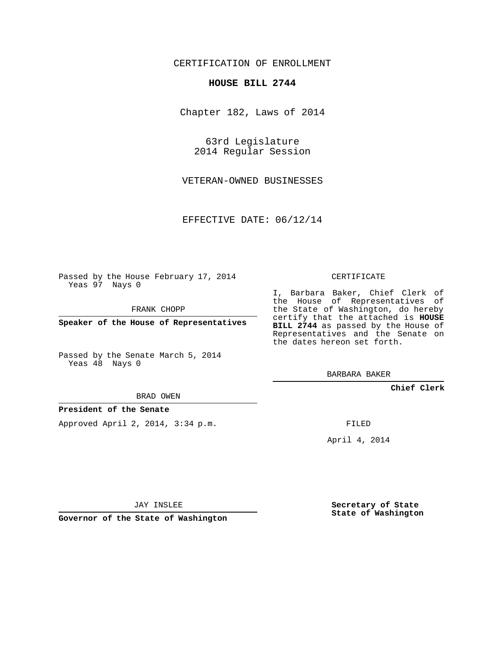## CERTIFICATION OF ENROLLMENT

## **HOUSE BILL 2744**

Chapter 182, Laws of 2014

63rd Legislature 2014 Regular Session

VETERAN-OWNED BUSINESSES

EFFECTIVE DATE: 06/12/14

Passed by the House February 17, 2014 Yeas 97 Nays 0

FRANK CHOPP

**Speaker of the House of Representatives**

Passed by the Senate March 5, 2014 Yeas 48 Nays 0

BRAD OWEN

## **President of the Senate**

Approved April 2, 2014, 3:34 p.m.

CERTIFICATE

I, Barbara Baker, Chief Clerk of the House of Representatives of the State of Washington, do hereby certify that the attached is **HOUSE BILL 2744** as passed by the House of Representatives and the Senate on the dates hereon set forth.

BARBARA BAKER

**Chief Clerk**

FILED

April 4, 2014

JAY INSLEE

**Governor of the State of Washington**

**Secretary of State State of Washington**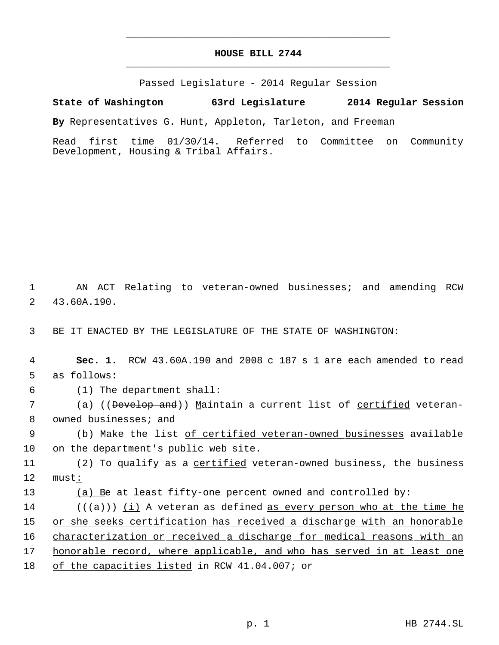## **HOUSE BILL 2744** \_\_\_\_\_\_\_\_\_\_\_\_\_\_\_\_\_\_\_\_\_\_\_\_\_\_\_\_\_\_\_\_\_\_\_\_\_\_\_\_\_\_\_\_\_

\_\_\_\_\_\_\_\_\_\_\_\_\_\_\_\_\_\_\_\_\_\_\_\_\_\_\_\_\_\_\_\_\_\_\_\_\_\_\_\_\_\_\_\_\_

Passed Legislature - 2014 Regular Session

**State of Washington 63rd Legislature 2014 Regular Session**

**By** Representatives G. Hunt, Appleton, Tarleton, and Freeman

Read first time 01/30/14. Referred to Committee on Community Development, Housing & Tribal Affairs.

 1 AN ACT Relating to veteran-owned businesses; and amending RCW 2 43.60A.190.

3 BE IT ENACTED BY THE LEGISLATURE OF THE STATE OF WASHINGTON:

 4 **Sec. 1.** RCW 43.60A.190 and 2008 c 187 s 1 are each amended to read 5 as follows:

6 (1) The department shall:

7  $\qquad \qquad$  (a) ((<del>Develop and</del>)) <u>M</u>aintain a current list of <u>certified</u> veteran-8 owned businesses; and

9 (b) Make the list of certified veteran-owned businesses available 10 on the department's public web site.

11 (2) To qualify as a *certified* veteran-owned business, the business 12 must:

13 (a) Be at least fifty-one percent owned and controlled by:

14 ( $(\langle a \rangle)$ ) (i) A veteran as defined as every person who at the time he 15 or she seeks certification has received a discharge with an honorable 16 characterization or received a discharge for medical reasons with an 17 honorable record, where applicable, and who has served in at least one 18 of the capacities listed in RCW 41.04.007; or

p. 1 HB 2744.SL